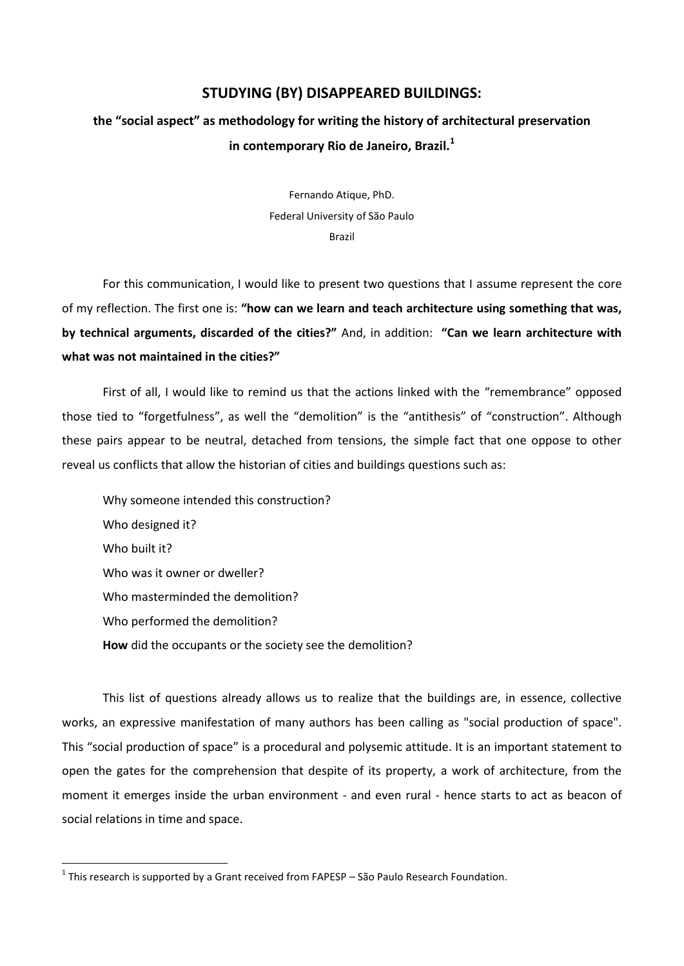# **STUDYING (BY) DISAPPEARED BUILDINGS:**

# **the "social aspect" as methodology for writing the history of architectural preservation in contemporary Rio de Janeiro, Brazil.<sup>1</sup>**

Fernando Atique, PhD. Federal University of São Paulo Brazil

For this communication, I would like to present two questions that I assume represent the core of my reflection. The first one is: **"how can we learn and teach architecture using something that was, by technical arguments, discarded of the cities?"** And, in addition: **"Can we learn architecture with what was not maintained in the cities?"**

First of all, I would like to remind us that the actions linked with the "remembrance" opposed those tied to "forgetfulness", as well the "demolition" is the "antithesis" of "construction". Although these pairs appear to be neutral, detached from tensions, the simple fact that one oppose to other reveal us conflicts that allow the historian of cities and buildings questions such as:

Why someone intended this construction? Who designed it? Who built it? Who was it owner or dweller? Who masterminded the demolition? Who performed the demolition? **How** did the occupants or the society see the demolition?

This list of questions already allows us to realize that the buildings are, in essence, collective works, an expressive manifestation of many authors has been calling as "social production of space". This "social production of space" is a procedural and polysemic attitude. It is an important statement to open the gates for the comprehension that despite of its property, a work of architecture, from the moment it emerges inside the urban environment - and even rural - hence starts to act as beacon of social relations in time and space.

**.** 

 $1$  This research is supported by a Grant received from FAPESP – São Paulo Research Foundation.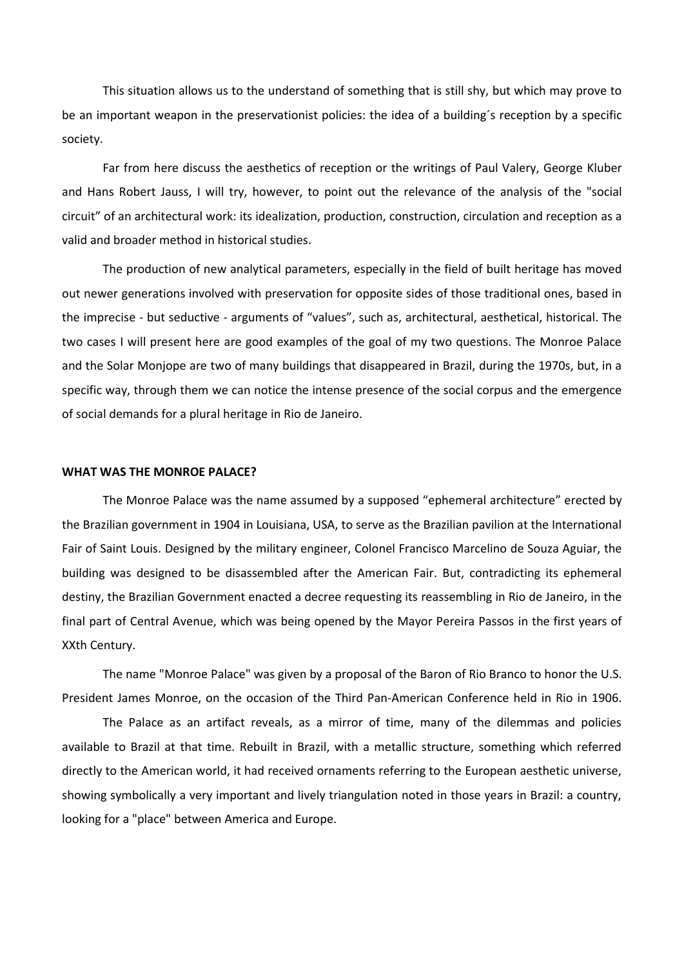This situation allows us to the understand of something that is still shy, but which may prove to be an important weapon in the preservationist policies: the idea of a building´s reception by a specific society.

Far from here discuss the aesthetics of reception or the writings of Paul Valery, George Kluber and Hans Robert Jauss, I will try, however, to point out the relevance of the analysis of the "social circuit" of an architectural work: its idealization, production, construction, circulation and reception as a valid and broader method in historical studies.

The production of new analytical parameters, especially in the field of built heritage has moved out newer generations involved with preservation for opposite sides of those traditional ones, based in the imprecise - but seductive - arguments of "values", such as, architectural, aesthetical, historical. The two cases I will present here are good examples of the goal of my two questions. The Monroe Palace and the Solar Monjope are two of many buildings that disappeared in Brazil, during the 1970s, but, in a specific way, through them we can notice the intense presence of the social corpus and the emergence of social demands for a plural heritage in Rio de Janeiro.

## **WHAT WAS THE MONROE PALACE?**

The Monroe Palace was the name assumed by a supposed "ephemeral architecture" erected by the Brazilian government in 1904 in Louisiana, USA, to serve as the Brazilian pavilion at the International Fair of Saint Louis. Designed by the military engineer, Colonel Francisco Marcelino de Souza Aguiar, the building was designed to be disassembled after the American Fair. But, contradicting its ephemeral destiny, the Brazilian Government enacted a decree requesting its reassembling in Rio de Janeiro, in the final part of Central Avenue, which was being opened by the Mayor Pereira Passos in the first years of XXth Century.

The name "Monroe Palace" was given by a proposal of the Baron of Rio Branco to honor the U.S. President James Monroe, on the occasion of the Third Pan-American Conference held in Rio in 1906.

The Palace as an artifact reveals, as a mirror of time, many of the dilemmas and policies available to Brazil at that time. Rebuilt in Brazil, with a metallic structure, something which referred directly to the American world, it had received ornaments referring to the European aesthetic universe, showing symbolically a very important and lively triangulation noted in those years in Brazil: a country, looking for a "place" between America and Europe.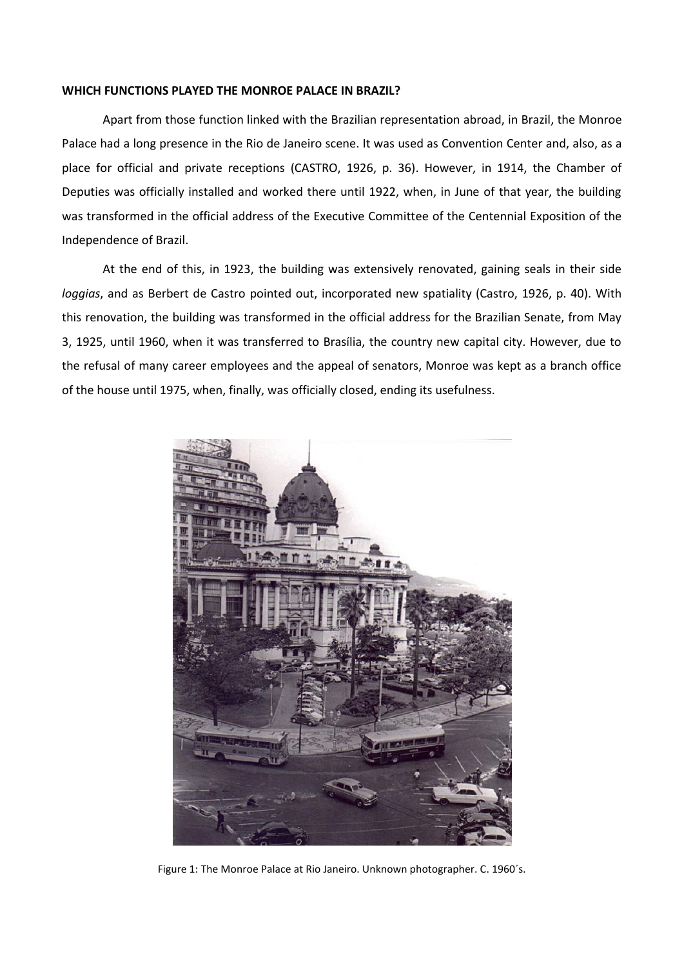#### **WHICH FUNCTIONS PLAYED THE MONROE PALACE IN BRAZIL?**

Apart from those function linked with the Brazilian representation abroad, in Brazil, the Monroe Palace had a long presence in the Rio de Janeiro scene. It was used as Convention Center and, also, as a place for official and private receptions (CASTRO, 1926, p. 36). However, in 1914, the Chamber of Deputies was officially installed and worked there until 1922, when, in June of that year, the building was transformed in the official address of the Executive Committee of the Centennial Exposition of the Independence of Brazil.

At the end of this, in 1923, the building was extensively renovated, gaining seals in their side *loggias*, and as Berbert de Castro pointed out, incorporated new spatiality (Castro, 1926, p. 40). With this renovation, the building was transformed in the official address for the Brazilian Senate, from May 3, 1925, until 1960, when it was transferred to Brasília, the country new capital city. However, due to the refusal of many career employees and the appeal of senators, Monroe was kept as a branch office of the house until 1975, when, finally, was officially closed, ending its usefulness.



Figure 1: The Monroe Palace at Rio Janeiro. Unknown photographer. C. 1960´s.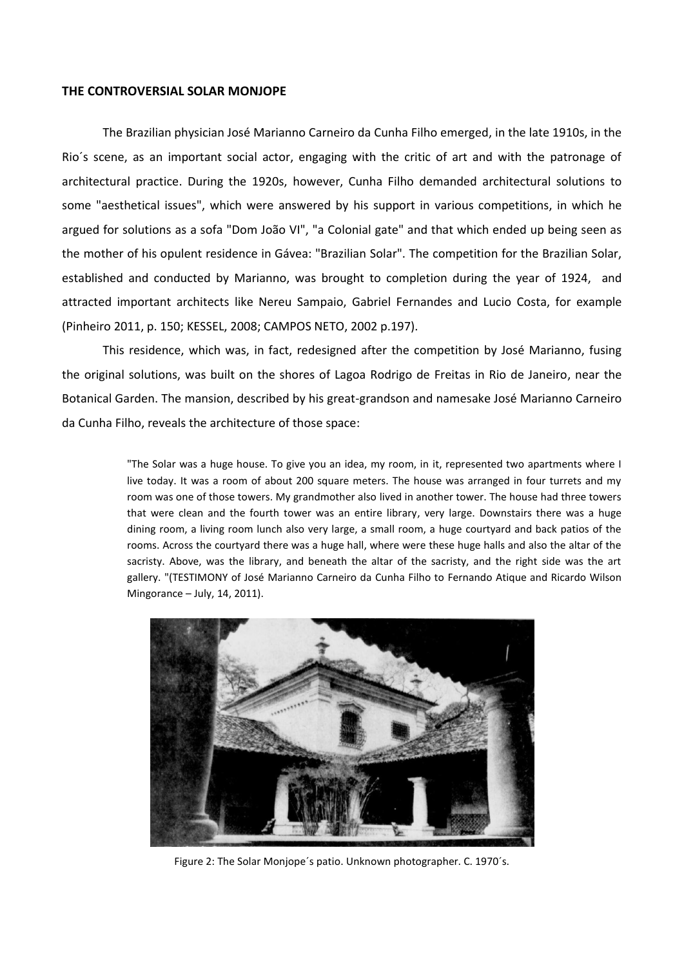#### **THE CONTROVERSIAL SOLAR MONJOPE**

The Brazilian physician José Marianno Carneiro da Cunha Filho emerged, in the late 1910s, in the Rio´s scene, as an important social actor, engaging with the critic of art and with the patronage of architectural practice. During the 1920s, however, Cunha Filho demanded architectural solutions to some "aesthetical issues", which were answered by his support in various competitions, in which he argued for solutions as a sofa "Dom João VI", "a Colonial gate" and that which ended up being seen as the mother of his opulent residence in Gávea: "Brazilian Solar". The competition for the Brazilian Solar, established and conducted by Marianno, was brought to completion during the year of 1924, and attracted important architects like Nereu Sampaio, Gabriel Fernandes and Lucio Costa, for example (Pinheiro 2011, p. 150; KESSEL, 2008; CAMPOS NETO, 2002 p.197).

This residence, which was, in fact, redesigned after the competition by José Marianno, fusing the original solutions, was built on the shores of Lagoa Rodrigo de Freitas in Rio de Janeiro, near the Botanical Garden. The mansion, described by his great-grandson and namesake José Marianno Carneiro da Cunha Filho, reveals the architecture of those space:

> "The Solar was a huge house. To give you an idea, my room, in it, represented two apartments where I live today. It was a room of about 200 square meters. The house was arranged in four turrets and my room was one of those towers. My grandmother also lived in another tower. The house had three towers that were clean and the fourth tower was an entire library, very large. Downstairs there was a huge dining room, a living room lunch also very large, a small room, a huge courtyard and back patios of the rooms. Across the courtyard there was a huge hall, where were these huge halls and also the altar of the sacristy. Above, was the library, and beneath the altar of the sacristy, and the right side was the art gallery. "(TESTIMONY of José Marianno Carneiro da Cunha Filho to Fernando Atique and Ricardo Wilson Mingorance – July, 14, 2011).



Figure 2: The Solar Monjope´s patio. Unknown photographer. C. 1970´s.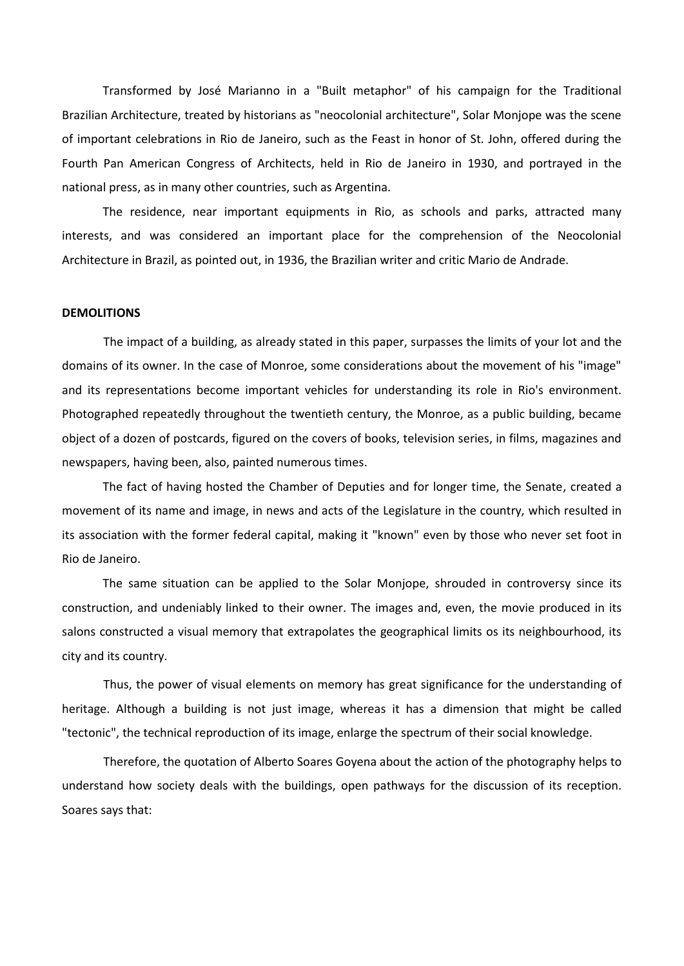Transformed by José Marianno in a "Built metaphor" of his campaign for the Traditional Brazilian Architecture, treated by historians as "neocolonial architecture", Solar Monjope was the scene of important celebrations in Rio de Janeiro, such as the Feast in honor of St. John, offered during the Fourth Pan American Congress of Architects, held in Rio de Janeiro in 1930, and portrayed in the national press, as in many other countries, such as Argentina.

The residence, near important equipments in Rio, as schools and parks, attracted many interests, and was considered an important place for the comprehension of the Neocolonial Architecture in Brazil, as pointed out, in 1936, the Brazilian writer and critic Mario de Andrade.

## **DEMOLITIONS**

The impact of a building, as already stated in this paper, surpasses the limits of your lot and the domains of its owner. In the case of Monroe, some considerations about the movement of his "image" and its representations become important vehicles for understanding its role in Rio's environment. Photographed repeatedly throughout the twentieth century, the Monroe, as a public building, became object of a dozen of postcards, figured on the covers of books, television series, in films, magazines and newspapers, having been, also, painted numerous times.

The fact of having hosted the Chamber of Deputies and for longer time, the Senate, created a movement of its name and image, in news and acts of the Legislature in the country, which resulted in its association with the former federal capital, making it "known" even by those who never set foot in Rio de Janeiro.

The same situation can be applied to the Solar Monjope, shrouded in controversy since its construction, and undeniably linked to their owner. The images and, even, the movie produced in its salons constructed a visual memory that extrapolates the geographical limits os its neighbourhood, its city and its country.

Thus, the power of visual elements on memory has great significance for the understanding of heritage. Although a building is not just image, whereas it has a dimension that might be called "tectonic", the technical reproduction of its image, enlarge the spectrum of their social knowledge.

Therefore, the quotation of Alberto Soares Goyena about the action of the photography helps to understand how society deals with the buildings, open pathways for the discussion of its reception. Soares says that: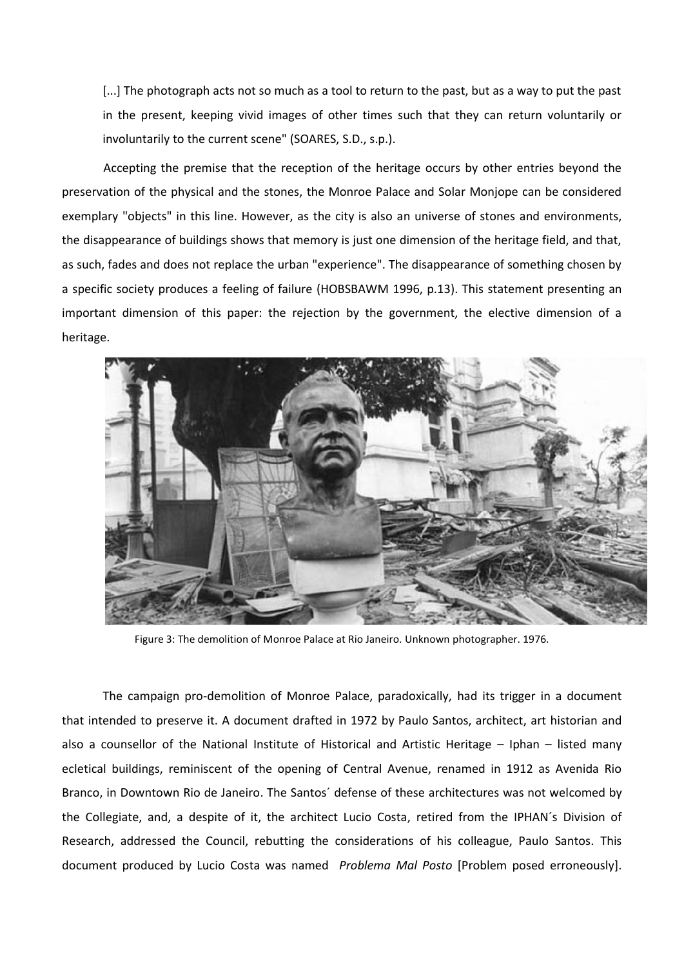[...] The photograph acts not so much as a tool to return to the past, but as a way to put the past in the present, keeping vivid images of other times such that they can return voluntarily or involuntarily to the current scene" (SOARES, S.D., s.p.).

Accepting the premise that the reception of the heritage occurs by other entries beyond the preservation of the physical and the stones, the Monroe Palace and Solar Monjope can be considered exemplary "objects" in this line. However, as the city is also an universe of stones and environments, the disappearance of buildings shows that memory is just one dimension of the heritage field, and that, as such, fades and does not replace the urban "experience". The disappearance of something chosen by a specific society produces a feeling of failure (HOBSBAWM 1996, p.13). This statement presenting an important dimension of this paper: the rejection by the government, the elective dimension of a heritage.



Figure 3: The demolition of Monroe Palace at Rio Janeiro. Unknown photographer. 1976.

The campaign pro-demolition of Monroe Palace, paradoxically, had its trigger in a document that intended to preserve it. A document drafted in 1972 by Paulo Santos, architect, art historian and also a counsellor of the National Institute of Historical and Artistic Heritage – Iphan – listed many ecletical buildings, reminiscent of the opening of Central Avenue, renamed in 1912 as Avenida Rio Branco, in Downtown Rio de Janeiro. The Santos´ defense of these architectures was not welcomed by the Collegiate, and, a despite of it, the architect Lucio Costa, retired from the IPHAN´s Division of Research, addressed the Council, rebutting the considerations of his colleague, Paulo Santos. This document produced by Lucio Costa was named *Problema Mal Posto* [Problem posed erroneously].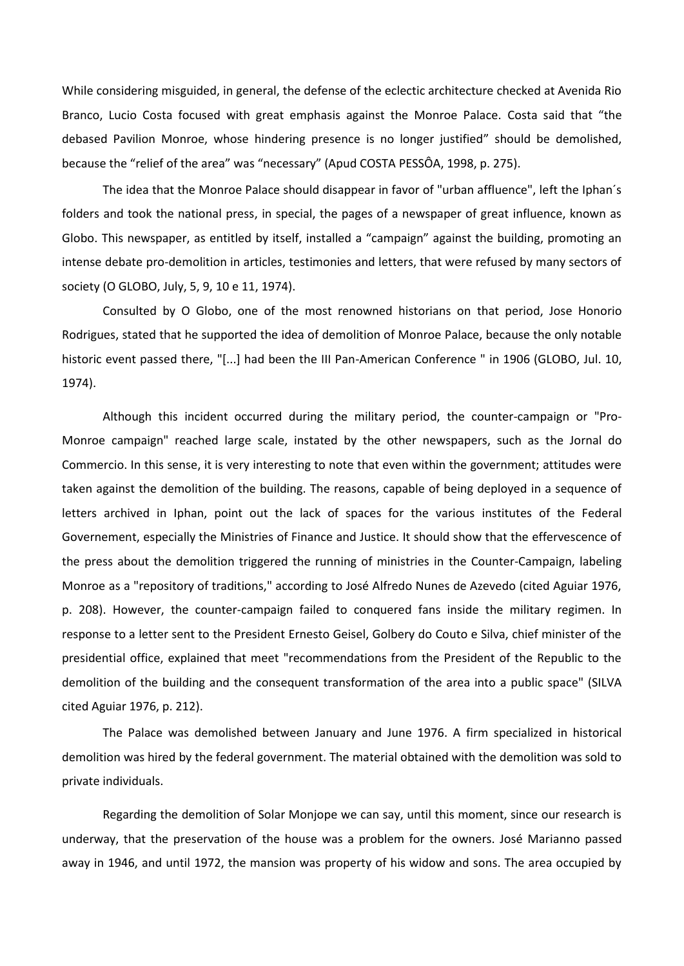While considering misguided, in general, the defense of the eclectic architecture checked at Avenida Rio Branco, Lucio Costa focused with great emphasis against the Monroe Palace. Costa said that "the debased Pavilion Monroe, whose hindering presence is no longer justified" should be demolished, because the "relief of the area" was "necessary" (Apud COSTA PESSÔA, 1998, p. 275).

The idea that the Monroe Palace should disappear in favor of "urban affluence", left the Iphan´s folders and took the national press, in special, the pages of a newspaper of great influence, known as Globo. This newspaper, as entitled by itself, installed a "campaign" against the building, promoting an intense debate pro-demolition in articles, testimonies and letters, that were refused by many sectors of society (O GLOBO, July, 5, 9, 10 e 11, 1974).

Consulted by O Globo, one of the most renowned historians on that period, Jose Honorio Rodrigues, stated that he supported the idea of demolition of Monroe Palace, because the only notable historic event passed there, "[...] had been the III Pan-American Conference " in 1906 (GLOBO, Jul. 10, 1974).

Although this incident occurred during the military period, the counter-campaign or "Pro-Monroe campaign" reached large scale, instated by the other newspapers, such as the Jornal do Commercio. In this sense, it is very interesting to note that even within the government; attitudes were taken against the demolition of the building. The reasons, capable of being deployed in a sequence of letters archived in Iphan, point out the lack of spaces for the various institutes of the Federal Governement, especially the Ministries of Finance and Justice. It should show that the effervescence of the press about the demolition triggered the running of ministries in the Counter-Campaign, labeling Monroe as a "repository of traditions," according to José Alfredo Nunes de Azevedo (cited Aguiar 1976, p. 208). However, the counter-campaign failed to conquered fans inside the military regimen. In response to a letter sent to the President Ernesto Geisel, Golbery do Couto e Silva, chief minister of the presidential office, explained that meet "recommendations from the President of the Republic to the demolition of the building and the consequent transformation of the area into a public space" (SILVA cited Aguiar 1976, p. 212).

The Palace was demolished between January and June 1976. A firm specialized in historical demolition was hired by the federal government. The material obtained with the demolition was sold to private individuals.

Regarding the demolition of Solar Monjope we can say, until this moment, since our research is underway, that the preservation of the house was a problem for the owners. José Marianno passed away in 1946, and until 1972, the mansion was property of his widow and sons. The area occupied by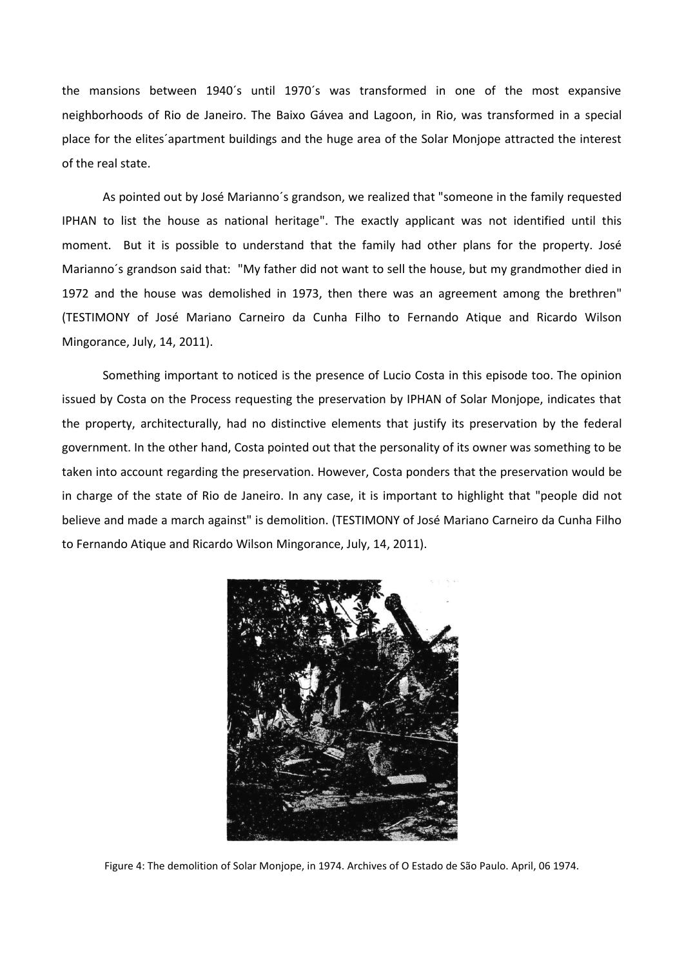the mansions between 1940´s until 1970´s was transformed in one of the most expansive neighborhoods of Rio de Janeiro. The Baixo Gávea and Lagoon, in Rio, was transformed in a special place for the elites´apartment buildings and the huge area of the Solar Monjope attracted the interest of the real state.

As pointed out by José Marianno´s grandson, we realized that "someone in the family requested IPHAN to list the house as national heritage". The exactly applicant was not identified until this moment. But it is possible to understand that the family had other plans for the property. José Marianno´s grandson said that: "My father did not want to sell the house, but my grandmother died in 1972 and the house was demolished in 1973, then there was an agreement among the brethren" (TESTIMONY of José Mariano Carneiro da Cunha Filho to Fernando Atique and Ricardo Wilson Mingorance, July, 14, 2011).

Something important to noticed is the presence of Lucio Costa in this episode too. The opinion issued by Costa on the Process requesting the preservation by IPHAN of Solar Monjope, indicates that the property, architecturally, had no distinctive elements that justify its preservation by the federal government. In the other hand, Costa pointed out that the personality of its owner was something to be taken into account regarding the preservation. However, Costa ponders that the preservation would be in charge of the state of Rio de Janeiro. In any case, it is important to highlight that "people did not believe and made a march against" is demolition. (TESTIMONY of José Mariano Carneiro da Cunha Filho to Fernando Atique and Ricardo Wilson Mingorance, July, 14, 2011).



Figure 4: The demolition of Solar Monjope, in 1974. Archives of O Estado de São Paulo. April, 06 1974.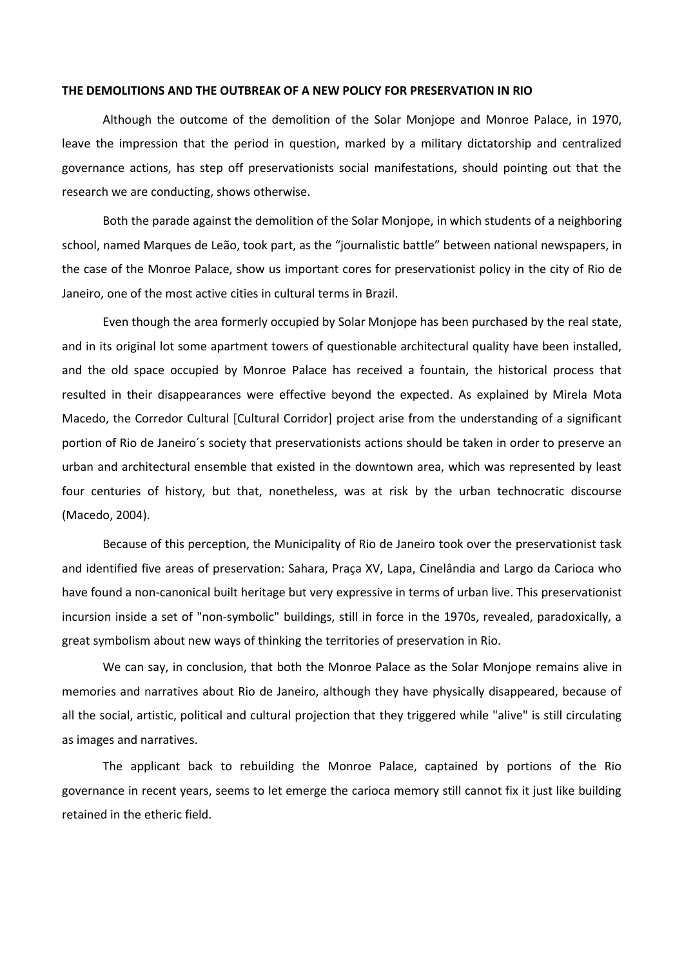#### **THE DEMOLITIONS AND THE OUTBREAK OF A NEW POLICY FOR PRESERVATION IN RIO**

Although the outcome of the demolition of the Solar Monjope and Monroe Palace, in 1970, leave the impression that the period in question, marked by a military dictatorship and centralized governance actions, has step off preservationists social manifestations, should pointing out that the research we are conducting, shows otherwise.

Both the parade against the demolition of the Solar Monjope, in which students of a neighboring school, named Marques de Leão, took part, as the "journalistic battle" between national newspapers, in the case of the Monroe Palace, show us important cores for preservationist policy in the city of Rio de Janeiro, one of the most active cities in cultural terms in Brazil.

Even though the area formerly occupied by Solar Monjope has been purchased by the real state, and in its original lot some apartment towers of questionable architectural quality have been installed, and the old space occupied by Monroe Palace has received a fountain, the historical process that resulted in their disappearances were effective beyond the expected. As explained by Mirela Mota Macedo, the Corredor Cultural [Cultural Corridor] project arise from the understanding of a significant portion of Rio de Janeiro´s society that preservationists actions should be taken in order to preserve an urban and architectural ensemble that existed in the downtown area, which was represented by least four centuries of history, but that, nonetheless, was at risk by the urban technocratic discourse (Macedo, 2004).

Because of this perception, the Municipality of Rio de Janeiro took over the preservationist task and identified five areas of preservation: Sahara, Praça XV, Lapa, Cinelândia and Largo da Carioca who have found a non-canonical built heritage but very expressive in terms of urban live. This preservationist incursion inside a set of "non-symbolic" buildings, still in force in the 1970s, revealed, paradoxically, a great symbolism about new ways of thinking the territories of preservation in Rio.

We can say, in conclusion, that both the Monroe Palace as the Solar Monjope remains alive in memories and narratives about Rio de Janeiro, although they have physically disappeared, because of all the social, artistic, political and cultural projection that they triggered while "alive" is still circulating as images and narratives.

The applicant back to rebuilding the Monroe Palace, captained by portions of the Rio governance in recent years, seems to let emerge the carioca memory still cannot fix it just like building retained in the etheric field.